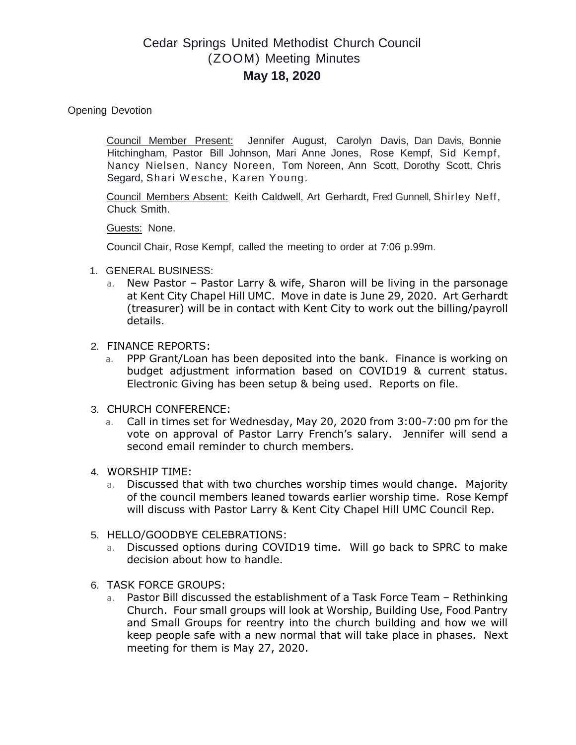## Cedar Springs United Methodist Church Council (ZOOM) Meeting Minutes **May 18, 2020**

Opening Devotion

Council Member Present: Jennifer August, Carolyn Davis, Dan Davis, Bonnie Hitchingham, Pastor Bill Johnson, Mari Anne Jones, Rose Kempf, Sid Kempf, Nancy Nielsen, Nancy Noreen, Tom Noreen, Ann Scott, Dorothy Scott, Chris Segard, Shari Wesche, Karen Young.

Council Members Absent: Keith Caldwell, Art Gerhardt, Fred Gunnell, Shirley Neff, Chuck Smith.

Guests: None.

Council Chair, Rose Kempf, called the meeting to order at 7:06 p.99m.

- 1. GENERAL BUSINESS:
	- a. New Pastor Pastor Larry & wife, Sharon will be living in the parsonage at Kent City Chapel Hill UMC. Move in date is June 29, 2020. Art Gerhardt (treasurer) will be in contact with Kent City to work out the billing/payroll details.
- 2. FINANCE REPORTS:
	- a. PPP Grant/Loan has been deposited into the bank. Finance is working on budget adjustment information based on COVID19 & current status. Electronic Giving has been setup & being used. Reports on file.
- 3. CHURCH CONFERENCE:
	- a. Call in times set for Wednesday, May 20, 2020 from 3:00-7:00 pm for the vote on approval of Pastor Larry French's salary. Jennifer will send a second email reminder to church members.
- 4. WORSHIP TIME:
	- a. Discussed that with two churches worship times would change. Majority of the council members leaned towards earlier worship time. Rose Kempf will discuss with Pastor Larry & Kent City Chapel Hill UMC Council Rep.
- 5. HELLO/GOODBYE CELEBRATIONS:
	- a. Discussed options during COVID19 time. Will go back to SPRC to make decision about how to handle.
- 6. TASK FORCE GROUPS:
	- a. Pastor Bill discussed the establishment of a Task Force Team Rethinking Church. Four small groups will look at Worship, Building Use, Food Pantry and Small Groups for reentry into the church building and how we will keep people safe with a new normal that will take place in phases. Next meeting for them is May 27, 2020.